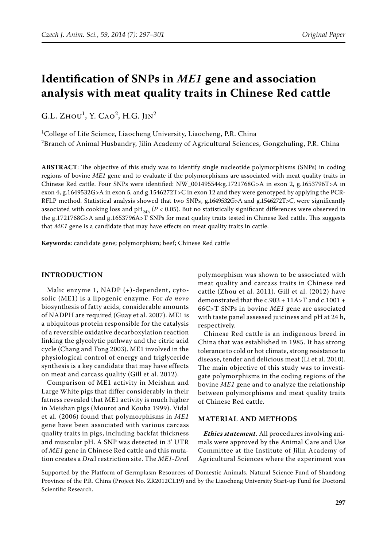# **Identification of SNPs in** *ME1* **gene and association analysis with meat quality traits in Chinese Red cattle**

G.L. Zно $U^1$ , Y. Cао<sup>2</sup>, H.G. Jin<sup>2</sup>

<sup>1</sup>College of Life Science, Liaocheng University, Liaocheng, P.R. China  $^2$ Branch of Animal Husbandry, Jilin Academy of Agricultural Sciences, Gongzhuling, P.R. China

**ABSTRACT**: The objective of this study was to identify single nucleotide polymorphisms (SNPs) in coding regions of bovine *ME1* gene and to evaluate if the polymorphisms are associated with meat quality traits in Chinese Red cattle. Four SNPs were identified: NW\_001495544:g.1721768G>A in exon 2, g.1653796T>A in exon 4, g.1649532G>A in exon 5, and g.1546272T>C in exon 12 and they were genotyped by applying the PCR-RFLP method. Statistical analysis showed that two SNPs, g.1649532G>A and g.1546272T>C, were significantly associated with cooking loss and  $pH_{24h}$  ( $P < 0.05$ ). But no statistically significant differences were observed in the g.1721768G>A and g.1653796A>T SNPs for meat quality traits tested in Chinese Red cattle. This suggests that *ME1* gene is a candidate that may have effects on meat quality traits in cattle.

**Keywords**: candidate gene; polymorphism; beef; Chinese Red cattle

## **INTRODUCTION**

Malic enzyme 1, NADP (+)-dependent, cytosolic (ME1) is a lipogenic enzyme. For *de novo* biosynthesis of fatty acids, considerable amounts of NADPH are required (Guay et al. 2007). ME1 is a ubiquitous protein responsible for the catalysis of a reversible oxidative decarboxylation reaction linking the glycolytic pathway and the citric acid cycle (Chang and Tong 2003). ME1 involved in the physiological control of energy and triglyceride synthesis is a key candidate that may have effects on meat and carcass quality (Gill et al. 2012).

Comparison of ME1 activity in Meishan and Large White pigs that differ considerably in their fatness revealed that ME1 activity is much higher in Meishan pigs (Mourot and Kouba 1999). Vidal et al. (2006) found that polymorphisms in *ME1* gene have been associated with various carcass quality traits in pigs, including backfat thickness and muscular pH. A SNP was detected in 3' UTR of *ME1* gene in Chinese Red cattle and this mutation creates a *Dra*I restriction site. The *ME1*-*Dra*I polymorphism was shown to be associated with meat quality and carcass traits in Chinese red cattle (Zhou et al. 2011). Gill et al. (2012) have demonstrated that the c.903 + 11A>T and c.1001 + 66C>T SNPs in bovine *ME1* gene are associated with taste panel assessed juiciness and pH at 24 h, respectively.

Chinese Red cattle is an indigenous breed in China that was established in 1985. It has strong tolerance to cold or hot climate, strong resistance to disease, tender and delicious meat (Li et al. 2010). The main objective of this study was to investigate polymorphisms in the coding regions of the bovine *ME1* gene and to analyze the relationship between polymorphisms and meat quality traits of Chinese Red cattle.

#### **MATERIAL AND METHODS**

*Ethics statement.* All procedures involving animals were approved by the Animal Care and Use Committee at the Institute of Jilin Academy of Agricultural Sciences where the experiment was

Supported by the Platform of Germplasm Resources of Domestic Animals, Natural Science Fund of Shandong Province of the P.R. China (Project No. ZR2012CL19) and by the Liaocheng University Start-up Fund for Doctoral Scientific Research.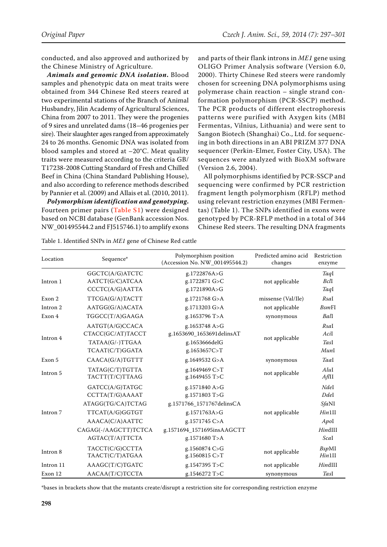conducted, and also approved and authorized by the Chinese Ministry of Agriculture.

*Animals and genomic DNA isolation***.** Blood samples and phenotypic data on meat traits were obtained from 344 Chinese Red steers reared at two experimental stations of the Branch of Animal Husbandry, Jilin Academy of Agricultural Sciences, China from 2007 to 2011. They were the progenies of 9 sires and unrelated dams (18–46 progenies per sire). Their slaughter ages ranged from approximately 24 to 26 months. Genomic DNA was isolated from blood samples and stored at –20°C. Meat quality traits were measured according to the criteria GB/ T17238-2008 Cutting Standard of Fresh and Chilled Beef in China (China Standard Publishing House), and also according to reference methods described by Pannier et al. (2009) and Allais et al. (2010, 2011).

*Polymorphism identification and genotyping***.**  Fourteen primer pairs (**[Table S1](http://www.agriculturejournals.cz/publicFiles/127193.pdf)**) were designed based on NCBI database (GenBank accession Nos. NW\_001495544.2 and FJ515746.1) to amplify exons

and parts of their flank introns in *ME1* gene using OLIGO Primer Analysis software (Version 6.0, 2000). Thirty Chinese Red steers were randomly chosen for screening DNA polymorphisms using polymerase chain reaction – single strand conformation polymorphism (PCR-SSCP) method. The PCR products of different electrophoresis patterns were purified with Axygen kits (MBI Fermentas, Vilnius, Lithuania) and were sent to Sangon Biotech (Shanghai) Co., Ltd. for sequencing in both directions in an ABI PRIZM 377 DNA sequencer (Perkin-Elmer, Foster City, USA). The sequences were analyzed with BioXM software (Version 2.6, 2004).

All polymorphisms identified by PCR-SSCP and sequencing were confirmed by PCR restriction fragment length polymorphism (RFLP) method using relevant restriction enzymes (MBI Fermentas) (Table 1). The SNPs identified in exons were genotyped by PCR-RFLP method in a total of 344 Chinese Red steers. The resulting DNA fragments

| Location            | Sequence*                                                                                                                                | Polymorphism position<br>(Accession No. NW_001495544.2)                                                                                     | Predicted amino acid<br>changes | Restriction<br>enzyme                                      |
|---------------------|------------------------------------------------------------------------------------------------------------------------------------------|---------------------------------------------------------------------------------------------------------------------------------------------|---------------------------------|------------------------------------------------------------|
| Intron 1            | GGCTC(A/G)ATCTC<br>AATCT(G/C)ATCAA<br>CCCTC(A/G)AATTA                                                                                    | g.1722876A>G<br>g.1722871 G>C<br>g.1721890A>G                                                                                               | not applicable                  | TaqI<br>BclI<br>TaqI                                       |
| Exon 2              | TTCGA(G/A)TACTT                                                                                                                          | g.1721768 G>A                                                                                                                               | missense (Val/Ile)              | RsaI                                                       |
| Intron 2            | AATGG(G/A)ACATA                                                                                                                          | g.1713203 G>A                                                                                                                               | not applicable                  | <b>BsmFI</b>                                               |
| Exon 4              | TGGCC(T/A)GAAGA                                                                                                                          | g.1653796 T>A                                                                                                                               | synonymous                      | Ball                                                       |
| Intron 4            | AATGT(A/G)CCACA<br>CTACC(GC/AT)TACCT<br>TATAA(G/-)TTGAA<br>TCAAT(C/T)GGATA                                                               | g.1653748 A>G<br>g.1653690_1653691delinsAT<br>g.1653666delG<br>g.1653657C>T                                                                 | not applicable                  | RsaI<br>AciI<br><b>TasI</b><br>MunI                        |
| Exon 5              | CAACA(G/A)TGTTT                                                                                                                          | g.1649532 G>A                                                                                                                               | synonymous                      | Taal                                                       |
| Intron 5            | TATAG(C/T)TGTTA<br>TACTT(T/C)TTAAG                                                                                                       | g.1649469 C>T<br>g.1649455 T>C                                                                                                              | not applicable                  | AluI<br>AflII                                              |
| Intron <sub>7</sub> | GATCC(A/G)TATGC<br>CCTTA(T/G)AAAAT<br>ATAGG(TG/CA)TCTAG<br>TTCAT(A/G)GGTGT<br>AAACA(C/A)AATTC<br>CAGAG(-/AAGCTT)TCTCA<br>AGTAC(T/A)TTCTA | g.1571840 A>G<br>g.1571803 T>G<br>g.1571766_1571767delinsCA<br>g.1571763A>G<br>g.1571745 C>A<br>g.1571694_1571695insAAGCTT<br>g.1571680 T>A | not applicable                  | NdeI<br>Ddel<br>SfaNI<br>Hin1II<br>Apol<br>HindIII<br>Scal |
| Intron 8            | TACCT(C/G)CCTTA<br>TAACT(C/T)ATGAA                                                                                                       | g.1560874 C>G<br>g.1560815 C>T                                                                                                              | not applicable                  | <b>BspMI</b><br>$H$ <i>in</i> $1$ II                       |
| Intron 11           | AAAGC(T/C)TGATC                                                                                                                          | g.1547395 T>C                                                                                                                               | not applicable                  | HindIII                                                    |
| Exon 12             | AACAA(T/C)TCCTA                                                                                                                          | g.1546272 T>C                                                                                                                               | synonymous                      | TasI                                                       |

Table 1. Identified SNPs in *ME1* gene of Chinese Red cattle

\*bases in brackets show that the mutants create/disrupt a restriction site for corresponding restriction enzyme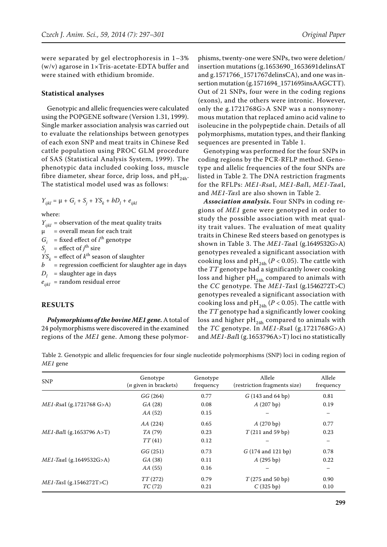were separated by gel electrophoresis in 1–3% (w/v) agarose in 1×Tris-acetate-EDTA buffer and were stained with ethidium bromide.

#### **Statistical analyses**

Genotypic and allelic frequencies were calculated using the POPGENE software (Version 1.31, 1999). Single marker association analysis was carried out to evaluate the relationships between genotypes of each exon SNP and meat traits in Chinese Red cattle population using PROC GLM procedure of SAS (Statistical Analysis System, 1999). The phenotypic data included cooking loss, muscle fibre diameter, shear force, drip loss, and  $pH_{24h}$ . The statistical model used was as follows:

 $Y_{ijkl} = \mu + G_i + S_j + YS_k + bD_l + e_{ijkl}$ 

where:

 $Y_{ijkl}$  = observation of the meat quality traits  $\mu$  = overall mean for each trait  $G_i$  = fixed effect of *i*<sup>th</sup> genotype  $S_j$  = effect of *j*<sup>th</sup> sire  $YS<sub>k</sub>$  = effect of  $k<sup>th</sup>$  season of slaughter *b =* regression coefficient for slaughter age in days  $D_l$  = slaughter age in days  $e_{ijkl}$  = random residual error

## **RESULTS**

*Polymorphisms of the bovine ME1 gene.* A total of 24 polymorphisms were discovered in the examined regions of the *ME1* gene. Among these polymor-

phisms, twenty-one were SNPs, two were deletion/ insertion mutations (g.1653690\_1653691delinsAT and g.1571766  $1571767$ delinsCA), and one was insertion mutation (g.1571694\_1571695insAAGCTT). Out of 21 SNPs, four were in the coding regions (exons), and the others were intronic. However, only the g.1721768G>A SNP was a nonsynonymous mutation that replaced amino acid valine to isoleucine in the polypeptide chain. Details of all polymorphisms, mutation types, and their flanking sequences are presented in Table 1.

Genotyping was performed for the four SNPs in coding regions by the PCR-RFLP method. Genotype and allelic frequencies of the four SNPs are listed in Table 2. The DNA restriction fragments for the RFLPs: *ME1-Rsa*I, *ME1-Bal*I, *ME1-Taa*I, and *ME1-Tas*I are also shown in Table 2.

*Association analysis***.** Four SNPs in coding regions of *ME1* gene were genotyped in order to study the possible association with meat quality trait values. The evaluation of meat quality traits in Chinese Red steers based on genotypes is shown in Table 3. The *ME1-Taa*I (g.1649532G>A) genotypes revealed a significant association with cooking loss and pH<sub>24h</sub> ( $P < 0.05$ ). The cattle with the *TT* genotype had a significantly lower cooking loss and higher  $pH_{24h}$  compared to animals with the *CC* genotype. The *ME1-Tas*I (g.1546272T>C) genotypes revealed a significant association with cooking loss and pH<sub>24h</sub> ( $P < 0.05$ ). The cattle with the *TT* genotype had a significantly lower cooking loss and higher  $pH_{24h}$  compared to animals with the *TC* genotype. In *ME1-Rsa*I (g.1721768G>A) and *ME1-Bal*I (g.1653796A>T) loci no statistically

Table 2. Genotypic and allelic frequencies for four single nucleotide polymorphisms (SNP) loci in coding region of *ME1* gene

| <b>SNP</b>                  | Genotype<br>( <i>n</i> given in brackets) | Genotype<br>frequency | Allele<br>(restriction fragments size) | Allele<br>frequency |
|-----------------------------|-------------------------------------------|-----------------------|----------------------------------------|---------------------|
|                             | GG(264)                                   | 0.77                  | $G(143 \text{ and } 64 \text{ bp})$    | 0.81                |
| $ME1-RsaI$ (g.1721768 G>A)  | GA(28)                                    | 0.08                  | A(207 bp)                              | 0.19                |
|                             | AA (52)                                   | 0.15                  |                                        |                     |
|                             | AA(224)                                   | 0.65                  | A(270 bp)                              | 0.77                |
| $ME1$ -Ball (g.1653796 A>T) | <i>TA</i> (79)                            | 0.23                  | $T(211 \text{ and } 59 \text{ bp})$    | 0.23                |
|                             | TT(41)                                    | 0.12                  |                                        |                     |
|                             | GG(251)                                   | 0.73                  | $G(174$ and 121 bp)                    | 0.78                |
| $ME1$ -Taal (g.1649532G>A)  | GA (38)                                   | 0.11                  | A(295 bp)                              | 0.22                |
|                             | AA (55)                                   | 0.16                  |                                        |                     |
|                             | TT(272)                                   | 0.79                  | $T(275 \text{ and } 50 \text{ bp})$    | 0.90                |
| $ME1$ -TasI (g.1546272T>C)  | TC(72)                                    | 0.21                  | C(325 bp)                              | 0.10                |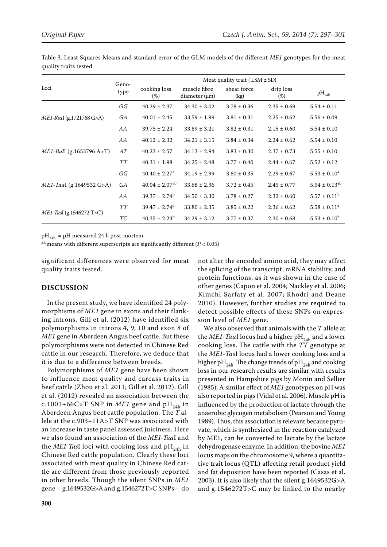Table 3. Least Squares Means and standard error of the GLM models of the different *ME1* genotypes for the meat quality traits tested

|                                 | Geno-<br>type | Meat quality trait ( $LSM \pm SD$ ) |                               |                     |                  |                               |
|---------------------------------|---------------|-------------------------------------|-------------------------------|---------------------|------------------|-------------------------------|
| Loci                            |               | cooking loss<br>(%)                 | muscle fibre<br>diameter (µm) | shear force<br>(kg) | drip loss<br>(%) | $pH_{24h}$                    |
|                                 | GG            | $40.29 \pm 2.37$                    | $34.30 \pm 3.02$              | $3.78 \pm 0.36$     | $2.35 \pm 0.69$  | $5.54 \pm 0.11$               |
| ME1-RsaI (g.1721768 G>A)        | GA            | $40.01 \pm 2.45$                    | $33.59 \pm 1.99$              | $3.81 \pm 0.31$     | $2.25 \pm 0.62$  | $5.56 \pm 0.09$               |
|                                 | AA            | $39.75 \pm 2.24$                    | $33.89 \pm 3.21$              | $3.82 \pm 0.31$     | $2.15 \pm 0.60$  | $5.54 \pm 0.10$               |
|                                 | AA            | $40.12 \pm 2.32$                    | $34.21 \pm 3.15$              | $3.84 \pm 0.34$     | $2.24 \pm 0.62$  | $5.54 \pm 0.10$               |
| <i>ME1-Ball</i> (g.1653796 A>T) | AT            | $40.23 \pm 2.57$                    | $34.13 \pm 2.94$              | $3.83 \pm 0.30$     | $2.37 \pm 0.73$  | $5.55 \pm 0.10$               |
|                                 | <b>TT</b>     | $40.31 \pm 1.98$                    | $34.25 \pm 2.48$              | $3.77 \pm 0.40$     | $2.44 \pm 0.67$  | $5.52 \pm 0.12$               |
|                                 | GG            | $40.40 \pm 2.27$ <sup>a</sup>       | $34.19 \pm 2.99$              | $3.80 \pm 0.35$     | $2.29 \pm 0.67$  | $5.53 \pm 0.10^a$             |
| $ME1$ -Taal (g.1649532 G>A)     | GA            | $40.04 \pm 2.07$ <sup>ab</sup>      | $33.68 \pm 2.36$              | $3.72 \pm 0.45$     | $2.45 \pm 0.77$  | $5.54 \pm 0.13$ <sup>ab</sup> |
|                                 | AA            | $39.37 \pm 2.74^b$                  | $34.50 \pm 3.30$              | $3.78 \pm 0.27$     | $2.32 \pm 0.60$  | $5.57 \pm 0.11^{\rm b}$       |
|                                 | <b>TT</b>     | $39.47 \pm 2.74$ <sup>a</sup>       | $33.80 \pm 2.35$              | $3.85 \pm 0.22$     | $2.36 \pm 0.62$  | $5.58 \pm 0.11^a$             |
| $ME1$ -TasI (g.1546272 T>C)     | TC            | $40.35 \pm 2.23^b$                  | $34.29 \pm 3.12$              | $3.77 \pm 0.37$     | $2.30 \pm 0.68$  | $5.53 \pm 0.10^b$             |

 $pH_{24h}$  = pH measured 24 h post-mortem

a,b<sub>means</sub> with different superscripts are significantly different ( $P < 0.05$ )

significant differences were observed for meat quality traits tested.

# **DISCUSSION**

In the present study, we have identified 24 polymorphisms of *ME1* gene in exons and their flanking introns. Gill et al. (2012) have identified six polymorphisms in introns 4, 9, 10 and exon 8 of *ME1* gene in Aberdeen Angus beef cattle. But these polymorphisms were not detected in Chinese Red cattle in our research. Therefore, we deduce that it is due to a difference between breeds.

Polymorphisms of *ME1* gene have been shown to influence meat quality and carcass traits in beef cattle (Zhou et al. 2011; Gill et al. 2012). Gill et al. (2012) revealed an association between the c.1001+66C>T SNP in *ME1* gene and  $pH_{24h}$  in Aberdeen Angus beef cattle population. The *T* allele at the c.903+11A>T SNP was associated with an increase in taste panel assessed juiciness. Here we also found an association of the *ME1-Taa*I and the *ME1-TasI* loci with cooking loss and  $pH_{24h}$  in Chinese Red cattle population. Clearly these loci associated with meat quality in Chinese Red cattle are different from those previously reported in other breeds. Though the silent SNPs in *ME1* gene – g.1649532G>A and g.1546272T>C SNPs – do not alter the encoded amino acid, they may affect the splicing of the transcript, mRNA stability, and protein functions, as it was shown in the case of other genes (Capon et al. 2004; Nackley et al. 2006; Kimchi-Sarfaty et al. 2007; Rhodri and Deane 2010). However, further studies are required to detect possible effects of these SNPs on expression level of *ME1* gene.

We also observed that animals with the *T* allele at the *ME1-Taa*I locus had a higher pH<sub>24h</sub> and a lower cooking loss. The cattle with the *TT* genotype at the *ME1-Tas*I locus had a lower cooking loss and a higher pH<sub>24h</sub>. The change trends of pH<sub>24h</sub> and cooking loss in our research results are similar with results presented in Hampshire pigs by Monin and Sellier (1985). A similar effect of *ME1* genotypes on pH was also reported in pigs (Vidal et al. 2006). Muscle pH is influenced by the production of lactate through the anaerobic glycogen metabolism (Pearson and Young 1989). Thus, this association is relevant because pyruvate, which is synthesized in the reaction catalyzed by ME1, can be converted to lactate by the lactate dehydrogenase enzyme. In addition, the bovine *ME1* locus maps on the chromosome 9, where a quantitative trait locus (QTL) affecting retail product yield and fat deposition have been reported (Casas et al. 2003). It is also likely that the silent g.1649532G>A and g.1546272T>C may be linked to the nearby